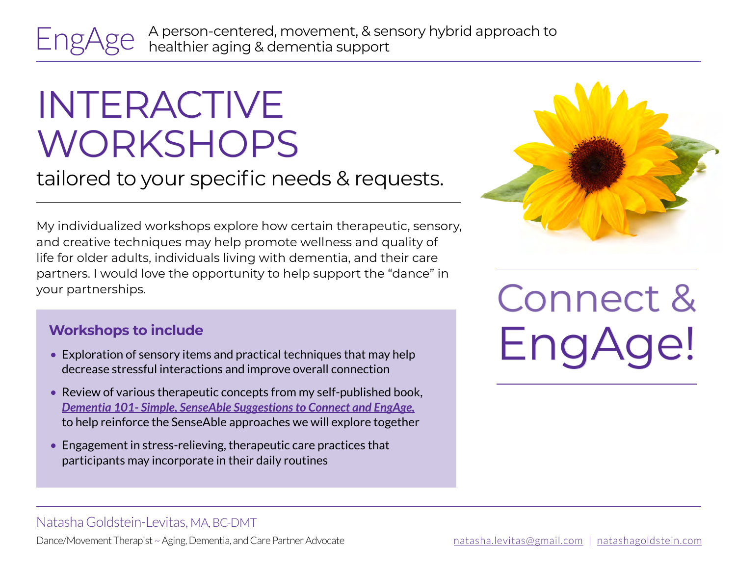EngAge

A person-centered, movement, & sensory hybrid approach to healthier aging & dementia support

# INTERACTIVE WORKSHOPS

tailored to your specific needs & requests.

My individualized workshops explore how certain therapeutic, sensory, and creative techniques may help promote wellness and quality of life for older adults, individuals living with dementia, and their care partners. I would love the opportunity to help support the "dance" in your partnerships.

#### **Workshops to include**

- Exploration of sensory items and practical techniques that may help decrease stressful interactions and improve overall connection
- Review of various therapeutic concepts from my self-published book, *[Dementia 101- Simple, SenseAble Suggestions to Connect and EngAge,](https://www.amazon.com/Dementia-101-SenseAble-Suggestions-Connect/dp/B089279XH1/ref=sr_1_1?dchild=1&keywords=dementia+101+natasha&qid=1599483824&sr=8-1)* to help reinforce the SenseAble approaches we will explore together
- Engagement in stress-relieving, therapeutic care practices that participants may incorporate in their daily routines



Connect & EngAc

### Natasha Goldstein-Levitas, MA, BC-DMT

Dance/Movement Therapist ~ Aging, Dementia, and Care Partner Advocate